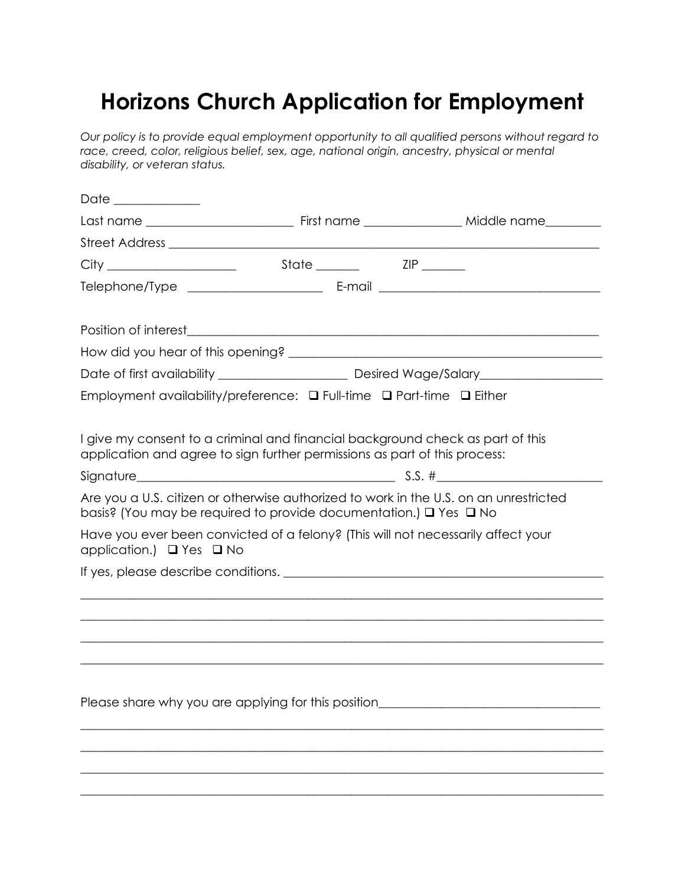## **Horizons Church Application for Employment**

*Our policy is to provide equal employment opportunity to all qualified persons without regard to*  race, creed, color, religious belief, sex, age, national origin, ancestry, physical or mental *disability, or veteran status.* 

| Date ____________                                    |                                                                                                                                                                            |                                                                                                                      |
|------------------------------------------------------|----------------------------------------------------------------------------------------------------------------------------------------------------------------------------|----------------------------------------------------------------------------------------------------------------------|
|                                                      |                                                                                                                                                                            |                                                                                                                      |
|                                                      |                                                                                                                                                                            |                                                                                                                      |
|                                                      |                                                                                                                                                                            |                                                                                                                      |
|                                                      |                                                                                                                                                                            |                                                                                                                      |
|                                                      |                                                                                                                                                                            |                                                                                                                      |
|                                                      |                                                                                                                                                                            |                                                                                                                      |
|                                                      |                                                                                                                                                                            |                                                                                                                      |
|                                                      |                                                                                                                                                                            |                                                                                                                      |
|                                                      | Employment availability/preference: $\Box$ Full-time $\Box$ Part-time $\Box$ Either                                                                                        |                                                                                                                      |
|                                                      |                                                                                                                                                                            |                                                                                                                      |
|                                                      | I give my consent to a criminal and financial background check as part of this                                                                                             |                                                                                                                      |
|                                                      | application and agree to sign further permissions as part of this process:                                                                                                 |                                                                                                                      |
|                                                      |                                                                                                                                                                            |                                                                                                                      |
|                                                      | Are you a U.S. citizen or otherwise authorized to work in the U.S. on an unrestricted<br>basis? (You may be required to provide documentation.) $\square$ Yes $\square$ No |                                                                                                                      |
| application.) □ Yes □ No                             | Have you ever been convicted of a felony? (This will not necessarily affect your                                                                                           |                                                                                                                      |
|                                                      |                                                                                                                                                                            |                                                                                                                      |
|                                                      |                                                                                                                                                                            |                                                                                                                      |
|                                                      |                                                                                                                                                                            | ,我们也不能在这里的时候,我们也不能在这里的时候,我们也不能在这里的时候,我们也不能会不能会不能会不能会不能会不能会不能会。""我们的人们也不能会不能会不能会不                                     |
|                                                      |                                                                                                                                                                            |                                                                                                                      |
|                                                      |                                                                                                                                                                            |                                                                                                                      |
|                                                      |                                                                                                                                                                            |                                                                                                                      |
| Please share why you are applying for this position_ |                                                                                                                                                                            | <u> 2000 - Jan James James Jan James James James James James James James James James James James James James Jam</u> |
|                                                      |                                                                                                                                                                            |                                                                                                                      |
|                                                      |                                                                                                                                                                            |                                                                                                                      |
|                                                      |                                                                                                                                                                            |                                                                                                                      |
|                                                      |                                                                                                                                                                            |                                                                                                                      |
|                                                      |                                                                                                                                                                            |                                                                                                                      |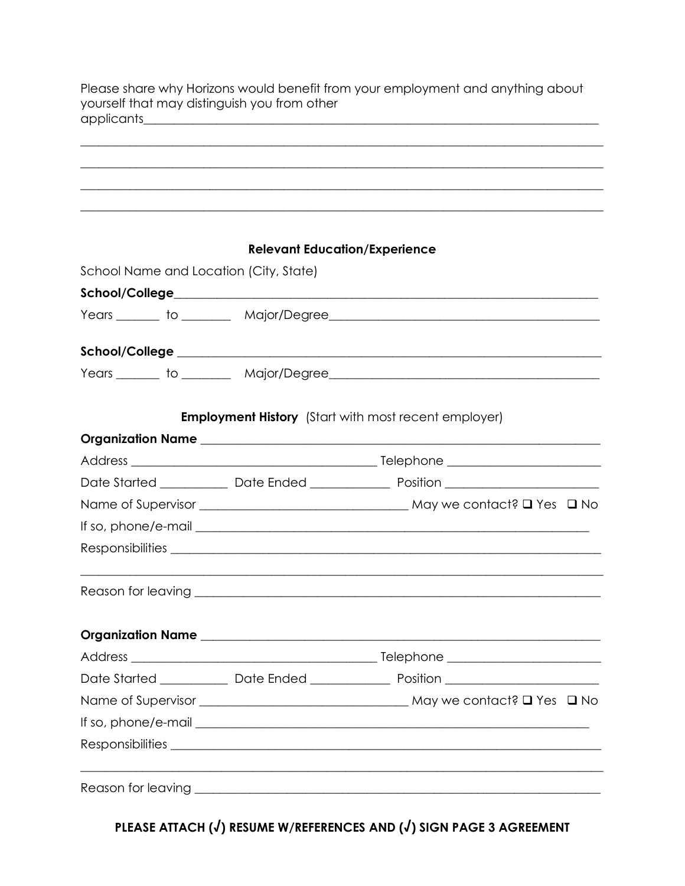Please share why Horizons would benefit from your employment and anything about yourself that may distinguish you from other 

| <b>Relevant Education/Experience</b>                                                                           |                                                                                         |  |
|----------------------------------------------------------------------------------------------------------------|-----------------------------------------------------------------------------------------|--|
| School Name and Location (City, State)                                                                         |                                                                                         |  |
|                                                                                                                |                                                                                         |  |
|                                                                                                                |                                                                                         |  |
| School/College entrance and the set of the set of the set of the set of the set of the set of the set of the s |                                                                                         |  |
|                                                                                                                |                                                                                         |  |
|                                                                                                                | <b>Employment History</b> (Start with most recent employer)                             |  |
|                                                                                                                |                                                                                         |  |
|                                                                                                                |                                                                                         |  |
|                                                                                                                |                                                                                         |  |
|                                                                                                                |                                                                                         |  |
|                                                                                                                |                                                                                         |  |
|                                                                                                                |                                                                                         |  |
|                                                                                                                |                                                                                         |  |
|                                                                                                                |                                                                                         |  |
|                                                                                                                |                                                                                         |  |
|                                                                                                                | Date Started _____________ Date Ended _________________ Position ______________________ |  |
|                                                                                                                |                                                                                         |  |
|                                                                                                                |                                                                                         |  |
|                                                                                                                |                                                                                         |  |
|                                                                                                                |                                                                                         |  |

PLEASE ATTACH (J) RESUME W/REFERENCES AND (J) SIGN PAGE 3 AGREEMENT